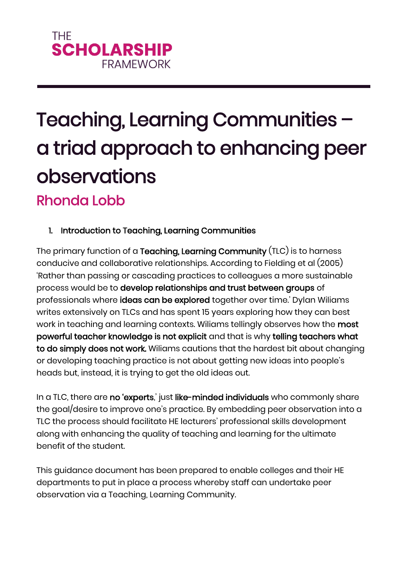# **THF SCHOLARSHIP FRAMEWORK**

# Teaching, Learning Communities – a triad approach to enhancing peer observations Rhonda Lobb

# 1. Introduction to Teaching, Learning Communities

The primary function of a Teaching, Learning Community (TLC) is to harness conducive and collaborative relationships. According to Fielding et al (2005) 'Rather than passing or cascading practices to colleagues a more sustainable process would be to develop relationships and trust between groups of professionals where ideas can be explored together over time.' Dylan Wiliams writes extensively on TLCs and has spent 15 years exploring how they can best work in teaching and learning contexts. Wiliams tellingly observes how the most powerful teacher knowledge is not explicit and that is why telling teachers what to do simply does not work. Wiliams cautions that the hardest bit about changing or developing teaching practice is not about getting new ideas into people's heads but, instead, it is trying to get the old ideas out.

In a TLC, there are no 'experts,' just like-minded individuals who commonly share the goal/desire to improve one's practice. By embedding peer observation into a TLC the process should facilitate HE lecturers' professional skills development along with enhancing the quality of teaching and learning for the ultimate benefit of the student.

This guidance document has been prepared to enable colleges and their HE departments to put in place a process whereby staff can undertake peer observation via a Teaching, Learning Community.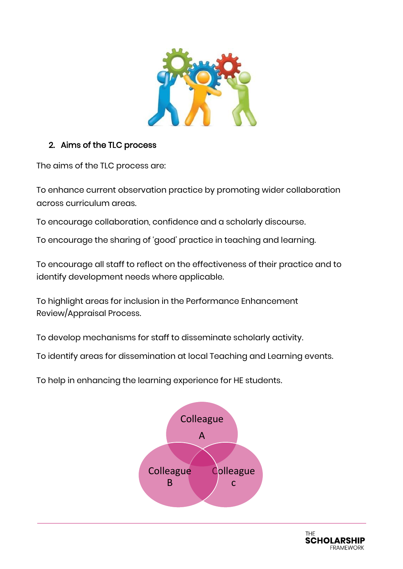

# 2. Aims of the TLC process

The aims of the TLC process are:

To enhance current observation practice by promoting wider collaboration across curriculum areas.

To encourage collaboration, confidence and a scholarly discourse.

To encourage the sharing of 'good' practice in teaching and learning.

To encourage all staff to reflect on the effectiveness of their practice and to identify development needs where applicable.

To highlight areas for inclusion in the Performance Enhancement Review/Appraisal Process.

To develop mechanisms for staff to disseminate scholarly activity.

To identify areas for dissemination at local Teaching and Learning events.

To help in enhancing the learning experience for HE students.



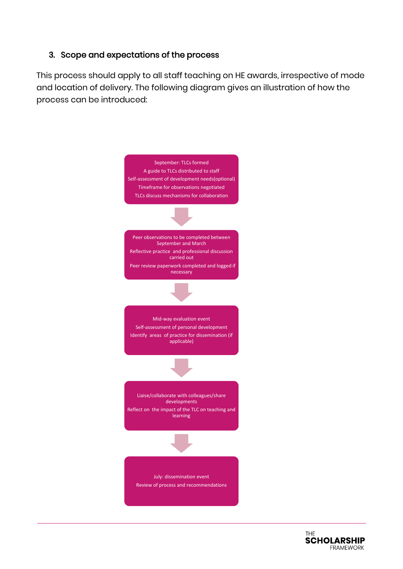### 3. Scope and expectations of the process

This process should apply to all staff teaching on HE awards, irrespective of mode and location of delivery. The following diagram gives an illustration of how the process can be introduced:



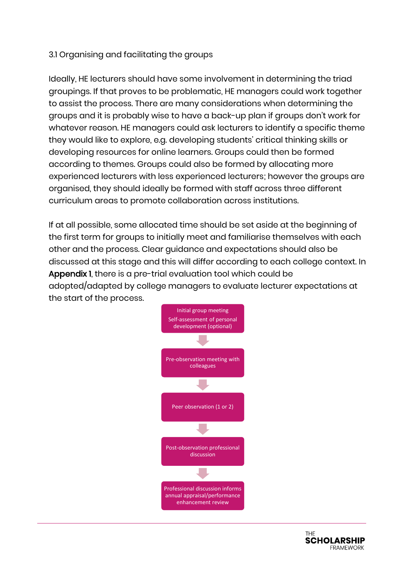### 3.1 Organising and facilitating the groups

Ideally, HE lecturers should have some involvement in determining the triad groupings. If that proves to be problematic, HE managers could work together to assist the process. There are many considerations when determining the groups and it is probably wise to have a back-up plan if groups don't work for whatever reason. HE managers could ask lecturers to identify a specific theme they would like to explore, e.g. developing students' critical thinking skills or developing resources for online learners. Groups could then be formed according to themes. Groups could also be formed by allocating more experienced lecturers with less experienced lecturers; however the groups are organised, they should ideally be formed with staff across three different curriculum areas to promote collaboration across institutions.

If at all possible, some allocated time should be set aside at the beginning of the first term for groups to initially meet and familiarise themselves with each other and the process. Clear guidance and expectations should also be discussed at this stage and this will differ according to each college context. In Appendix 1, there is a pre-trial evaluation tool which could be adopted/adapted by college managers to evaluate lecturer expectations at the start of the process.



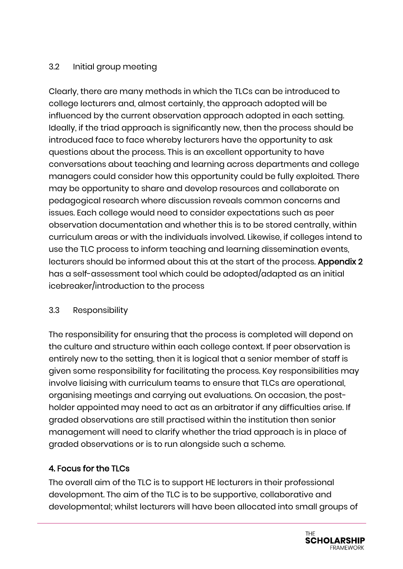## 3.2 Initial group meeting

Clearly, there are many methods in which the TLCs can be introduced to college lecturers and, almost certainly, the approach adopted will be influenced by the current observation approach adopted in each setting. Ideally, if the triad approach is significantly new, then the process should be introduced face to face whereby lecturers have the opportunity to ask questions about the process. This is an excellent opportunity to have conversations about teaching and learning across departments and college managers could consider how this opportunity could be fully exploited. There may be opportunity to share and develop resources and collaborate on pedagogical research where discussion reveals common concerns and issues. Each college would need to consider expectations such as peer observation documentation and whether this is to be stored centrally, within curriculum areas or with the individuals involved. Likewise, if colleges intend to use the TLC process to inform teaching and learning dissemination events, lecturers should be informed about this at the start of the process. Appendix 2 has a self-assessment tool which could be adopted/adapted as an initial icebreaker/introduction to the process

### 3.3 Responsibility

The responsibility for ensuring that the process is completed will depend on the culture and structure within each college context. If peer observation is entirely new to the setting, then it is logical that a senior member of staff is given some responsibility for facilitating the process. Key responsibilities may involve liaising with curriculum teams to ensure that TLCs are operational, organising meetings and carrying out evaluations. On occasion, the postholder appointed may need to act as an arbitrator if any difficulties arise. If graded observations are still practised within the institution then senior management will need to clarify whether the triad approach is in place of graded observations or is to run alongside such a scheme.

# 4. Focus for the TLCs

The overall aim of the TLC is to support HE lecturers in their professional development. The aim of the TLC is to be supportive, collaborative and developmental; whilst lecturers will have been allocated into small groups of

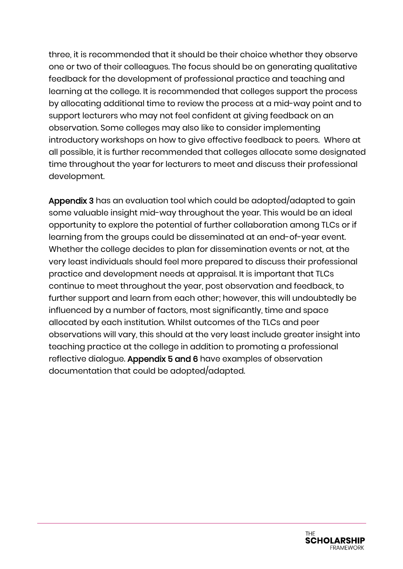three, it is recommended that it should be their choice whether they observe one or two of their colleagues. The focus should be on generating qualitative feedback for the development of professional practice and teaching and learning at the college. It is recommended that colleges support the process by allocating additional time to review the process at a mid-way point and to support lecturers who may not feel confident at giving feedback on an observation. Some colleges may also like to consider implementing introductory workshops on how to give effective feedback to peers. Where at all possible, it is further recommended that colleges allocate some designated time throughout the year for lecturers to meet and discuss their professional development.

Appendix 3 has an evaluation tool which could be adopted/adapted to gain some valuable insight mid-way throughout the year. This would be an ideal opportunity to explore the potential of further collaboration among TLCs or if learning from the groups could be disseminated at an end-of-year event. Whether the college decides to plan for dissemination events or not, at the very least individuals should feel more prepared to discuss their professional practice and development needs at appraisal. It is important that TLCs continue to meet throughout the year, post observation and feedback, to further support and learn from each other; however, this will undoubtedly be influenced by a number of factors, most significantly, time and space allocated by each institution. Whilst outcomes of the TLCs and peer observations will vary, this should at the very least include greater insight into teaching practice at the college in addition to promoting a professional reflective dialogue. Appendix 5 and 6 have examples of observation documentation that could be adopted/adapted.

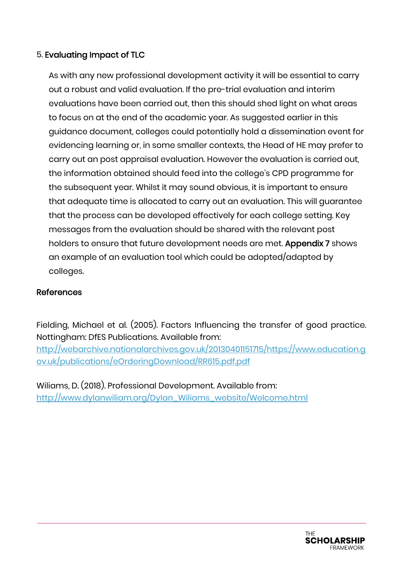## 5. Evaluating Impact of TLC

As with any new professional development activity it will be essential to carry out a robust and valid evaluation. If the pre-trial evaluation and interim evaluations have been carried out, then this should shed light on what areas to focus on at the end of the academic year. As suggested earlier in this guidance document, colleges could potentially hold a dissemination event for evidencing learning or, in some smaller contexts, the Head of HE may prefer to carry out an post appraisal evaluation. However the evaluation is carried out, the information obtained should feed into the college's CPD programme for the subsequent year. Whilst it may sound obvious, it is important to ensure that adequate time is allocated to carry out an evaluation. This will guarantee that the process can be developed effectively for each college setting. Key messages from the evaluation should be shared with the relevant post holders to ensure that future development needs are met. Appendix 7 shows an example of an evaluation tool which could be adopted/adapted by colleges.

#### References

Fielding, Michael et al. (2005). Factors Influencing the transfer of good practice. Nottingham: DfES Publications. Available from: [http://webarchive.nationalarchives.gov.uk/20130401151715/https://www.education.g](http://webarchive.nationalarchives.gov.uk/20130401151715/https:/www.education.gov.uk/publications/eOrderingDownload/RR615.pdf.pdf) [ov.uk/publications/eOrderingDownload/RR615.pdf.pdf](http://webarchive.nationalarchives.gov.uk/20130401151715/https:/www.education.gov.uk/publications/eOrderingDownload/RR615.pdf.pdf)

Wiliams, D. (2018). Professional Development. Available from: [http://www.dylanwiliam.org/Dylan\\_Wiliams\\_website/Welcome.html](http://www.dylanwiliam.org/Dylan_Wiliams_website/Welcome.html)

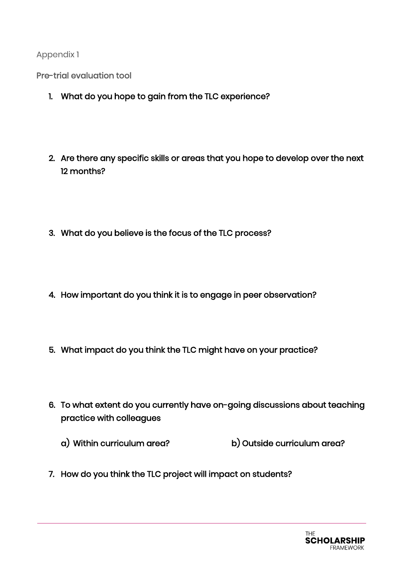Pre-trial evaluation tool

- 1. What do you hope to gain from the TLC experience?
- 2. Are there any specific skills or areas that you hope to develop over the next 12 months?
- 3. What do you believe is the focus of the TLC process?
- 4. How important do you think it is to engage in peer observation?
- 5. What impact do you think the TLC might have on your practice?
- 6. To what extent do you currently have on-going discussions about teaching practice with colleagues
	- a) Within curriculum area? b) Outside curriculum area?
- 7. How do you think the TLC project will impact on students?

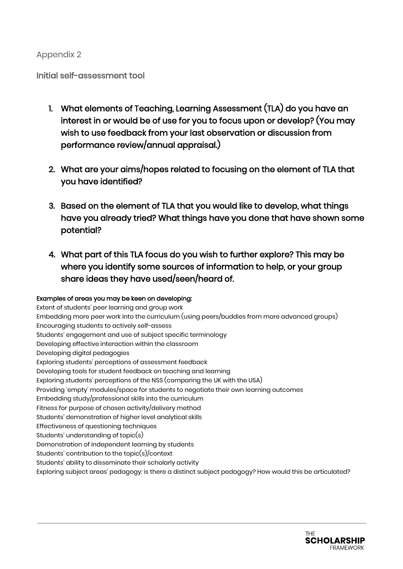#### Initial self-assessment tool

- 1. What elements of Teaching, Learning Assessment (TLA) do you have an interest in or would be of use for you to focus upon or develop? (You may wish to use feedback from your last observation or discussion from performance review/annual appraisal.)
- 2. What are your aims/hopes related to focusing on the element of TLA that you have identified?
- 3. Based on the element of TLA that you would like to develop, what things have you already tried? What things have you done that have shown some potential?
- 4. What part of this TLA focus do you wish to further explore? This may be where you identify some sources of information to help, or your group share ideas they have used/seen/heard of.

#### Examples of areas you may be keen on developing:

Extent of students' peer learning and group work Embedding more peer work into the curriculum (using peers/buddies from more advanced groups) Encouraging students to actively self-assess Students' engagement and use of subject specific terminology Developing effective interaction within the classroom Developing digital pedagogies Exploring students' perceptions of assessment feedback Developing tools for student feedback on teaching and learning Exploring students' perceptions of the NSS (comparing the UK with the USA) Providing 'empty' modules/space for students to negotiate their own learning outcomes Embedding study/professional skills into the curriculum Fitness for purpose of chosen activity/delivery method Students' demonstration of higher level analytical skills Effectiveness of questioning techniques Students' understanding of topic(s) Demonstration of independent learning by students Students' contribution to the topic(s)/context Students' ability to disseminate their scholarly activity Exploring subject areas' pedagogy: is there a distinct subject pedagogy? How would this be articulated?

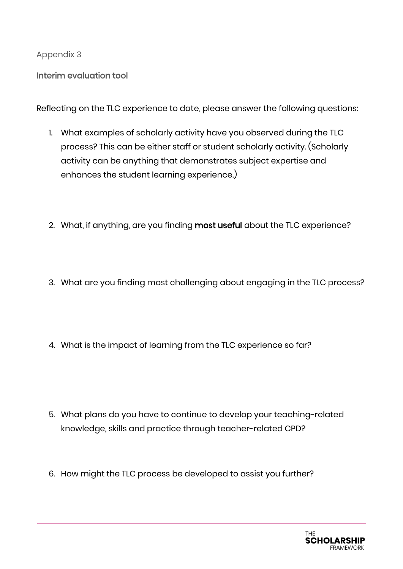Interim evaluation tool

Reflecting on the TLC experience to date, please answer the following questions:

- 1. What examples of scholarly activity have you observed during the TLC process? This can be either staff or student scholarly activity. (Scholarly activity can be anything that demonstrates subject expertise and enhances the student learning experience.)
- 2. What, if anything, are you finding most useful about the TLC experience?
- 3. What are you finding most challenging about engaging in the TLC process?
- 4. What is the impact of learning from the TLC experience so far?

- 5. What plans do you have to continue to develop your teaching-related knowledge, skills and practice through teacher-related CPD?
- 6. How might the TLC process be developed to assist you further?

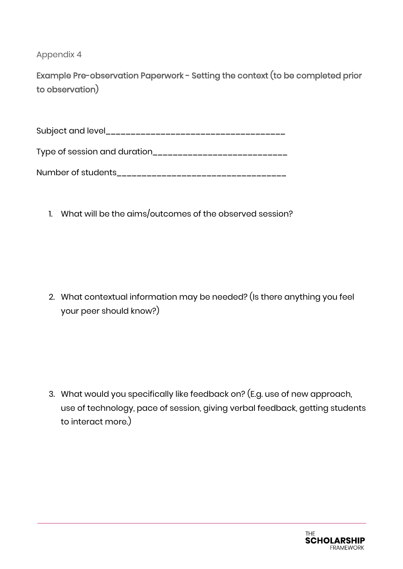Example Pre-observation Paperwork - Setting the context (to be completed prior to observation)

Subject and level\_\_\_\_\_\_\_\_\_\_\_\_\_\_\_\_\_\_\_\_\_\_\_\_\_\_\_\_\_\_\_\_\_\_\_\_

Type of session and duration\_\_\_\_\_\_\_\_\_\_\_\_\_\_\_\_\_\_\_\_\_\_\_\_\_\_\_

| Number of students |  |
|--------------------|--|
|--------------------|--|

1. What will be the aims/outcomes of the observed session?

2. What contextual information may be needed? (Is there anything you feel your peer should know?)

3. What would you specifically like feedback on? (E.g. use of new approach, use of technology, pace of session, giving verbal feedback, getting students to interact more.)

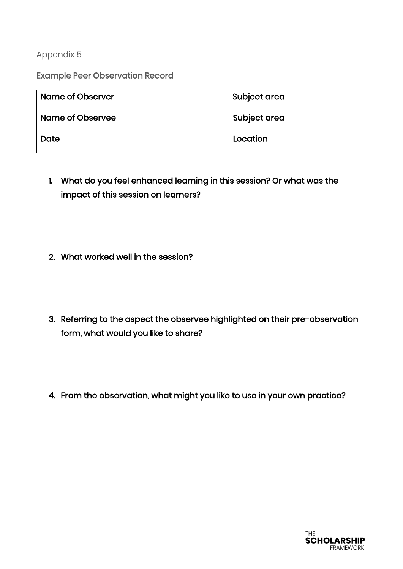Example Peer Observation Record

| Name of Observer | Subject area |
|------------------|--------------|
| Name of Observee | Subject area |
| Date             | Location     |

- 1. What do you feel enhanced learning in this session? Or what was the impact of this session on learners?
- 2. What worked well in the session?
- 3. Referring to the aspect the observee highlighted on their pre-observation form, what would you like to share?
- 4. From the observation, what might you like to use in your own practice?

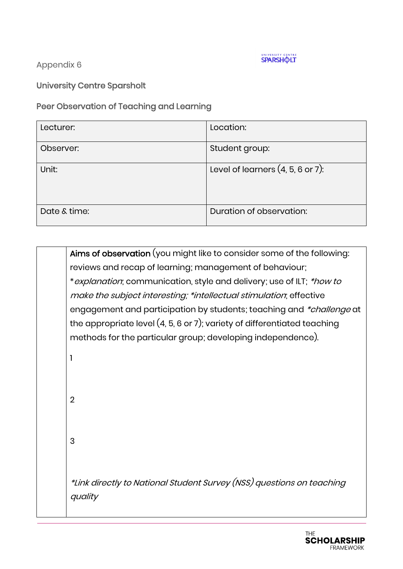

University Centre Sparsholt

Peer Observation of Teaching and Learning

| Lecturer:    | Location:                           |
|--------------|-------------------------------------|
| Observer:    | Student group:                      |
| Unit:        | Level of learners $(4, 5, 6$ or 7): |
| Date & time: | Duration of observation:            |

Aims of observation (you might like to consider some of the following: reviews and recap of learning; management of behaviour; \*explanation; communication, style and delivery; use of ILT; \*how to make the subject interesting; \*intellectual stimulation; effective engagement and participation by students; teaching and \*challenge at the appropriate level (4, 5, 6 or 7); variety of differentiated teaching methods for the particular group; developing independence). 1 2 3 \*Link directly to National Student Survey (NSS) questions on teaching quality

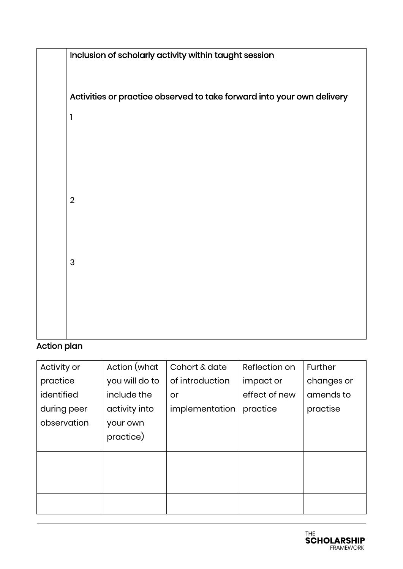|                | Inclusion of scholarly activity within taught session                  |
|----------------|------------------------------------------------------------------------|
|                | Activities or practice observed to take forward into your own delivery |
| 1              |                                                                        |
|                |                                                                        |
|                |                                                                        |
|                |                                                                        |
| $\overline{2}$ |                                                                        |
|                |                                                                        |
| 3              |                                                                        |
|                |                                                                        |
|                |                                                                        |
|                |                                                                        |

# Action plan

| Activity or | Action (what   | Cohort & date   | Reflection on | Further    |
|-------------|----------------|-----------------|---------------|------------|
| practice    | you will do to | of introduction | impact or     | changes or |
| identified  | include the    | or              | effect of new | amends to  |
| during peer | activity into  | implementation  | practice      | practise   |
| observation | your own       |                 |               |            |
|             | practice)      |                 |               |            |
|             |                |                 |               |            |
|             |                |                 |               |            |
|             |                |                 |               |            |
|             |                |                 |               |            |
|             |                |                 |               |            |

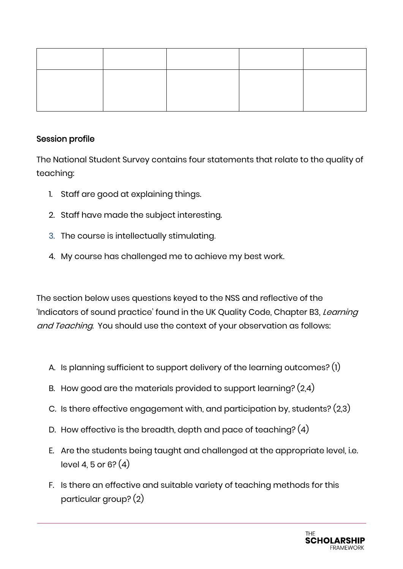#### Session profile

The National Student Survey contains four statements that relate to the quality of teaching:

- 1. Staff are good at explaining things.
- 2. Staff have made the subject interesting.
- 3. The course is intellectually stimulating.
- 4. My course has challenged me to achieve my best work.

The section below uses questions keyed to the NSS and reflective of the 'Indicators of sound practice' found in the UK Quality Code, Chapter B3, Learning and Teaching. You should use the context of your observation as follows:

- A. Is planning sufficient to support delivery of the learning outcomes? (1)
- B. How good are the materials provided to support learning? (2,4)
- C. Is there effective engagement with, and participation by, students? (2,3)
- D. How effective is the breadth, depth and pace of teaching? (4)
- E. Are the students being taught and challenged at the appropriate level, i.e. level 4, 5 or 6?  $(4)$
- F. Is there an effective and suitable variety of teaching methods for this particular group? (2)

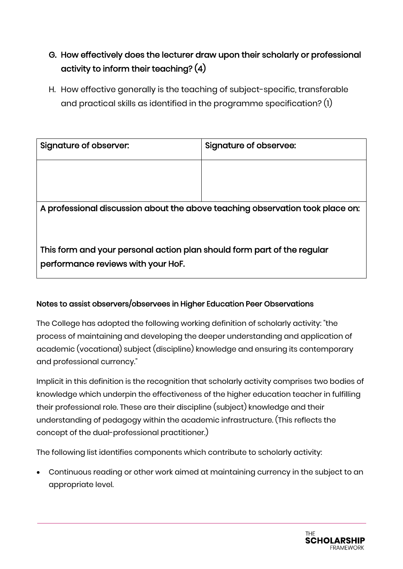# G. How effectively does the lecturer draw upon their scholarly or professional activity to inform their teaching? (4)

H. How effective generally is the teaching of subject-specific, transferable and practical skills as identified in the programme specification? (1)

| Signature of observer:                                                        | Signature of observee: |
|-------------------------------------------------------------------------------|------------------------|
|                                                                               |                        |
|                                                                               |                        |
| A professional discussion about the above teaching observation took place on: |                        |
|                                                                               |                        |
| This form and your personal action plan should form part of the regular       |                        |
| performance reviews with your HoF.                                            |                        |

### Notes to assist observers/observees in Higher Education Peer Observations

The College has adopted the following working definition of scholarly activity: "the process of maintaining and developing the deeper understanding and application of academic (vocational) subject (discipline) knowledge and ensuring its contemporary and professional currency."

Implicit in this definition is the recognition that scholarly activity comprises two bodies of knowledge which underpin the effectiveness of the higher education teacher in fulfilling their professional role. These are their discipline (subject) knowledge and their understanding of pedagogy within the academic infrastructure. (This reflects the concept of the dual-professional practitioner.)

The following list identifies components which contribute to scholarly activity:

• Continuous reading or other work aimed at maintaining currency in the subject to an appropriate level.

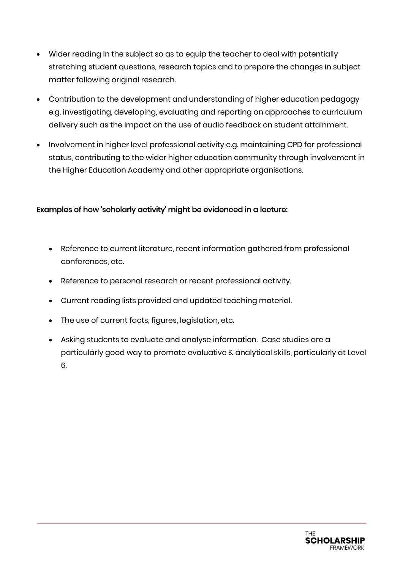- Wider reading in the subject so as to equip the teacher to deal with potentially stretching student questions, research topics and to prepare the changes in subject matter following original research.
- Contribution to the development and understanding of higher education pedagogy e.g. investigating, developing, evaluating and reporting on approaches to curriculum delivery such as the impact on the use of audio feedback on student attainment.
- Involvement in higher level professional activity e.g. maintaining CPD for professional status, contributing to the wider higher education community through involvement in the Higher Education Academy and other appropriate organisations.

#### Examples of how 'scholarly activity' might be evidenced in a lecture:

- Reference to current literature, recent information gathered from professional conferences, etc.
- Reference to personal research or recent professional activity.
- Current reading lists provided and updated teaching material.
- The use of current facts, figures, legislation, etc.
- Asking students to evaluate and analyse information. Case studies are a particularly good way to promote evaluative & analytical skills, particularly at Level 6.

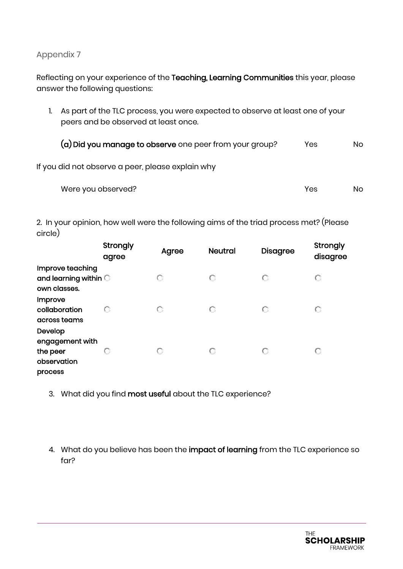Reflecting on your experience of the Teaching, Learning Communities this year, please answer the following questions:

1. As part of the TLC process, you were expected to observe at least one of your peers and be observed at least once.

(a) Did you manage to observe one peer from your group? Yes No

If you did not observe a peer, please explain why

| Were you observed? | Yes | No. |
|--------------------|-----|-----|

2. In your opinion, how well were the following aims of the triad process met? (Please circle)

|                                                                  | Strongly<br>agree | Agree | <b>Neutral</b> | <b>Disagree</b> | Strongly<br>disagree |
|------------------------------------------------------------------|-------------------|-------|----------------|-----------------|----------------------|
| Improve teaching<br>and learning within<br>own classes.          |                   |       |                | О               |                      |
| Improve<br>collaboration<br>across teams                         |                   |       | О              | О               |                      |
| Develop<br>engagement with<br>the peer<br>observation<br>process | U                 |       | О              | О               |                      |

- 3. What did you find most useful about the TLC experience?
- 4. What do you believe has been the impact of learning from the TLC experience so far?